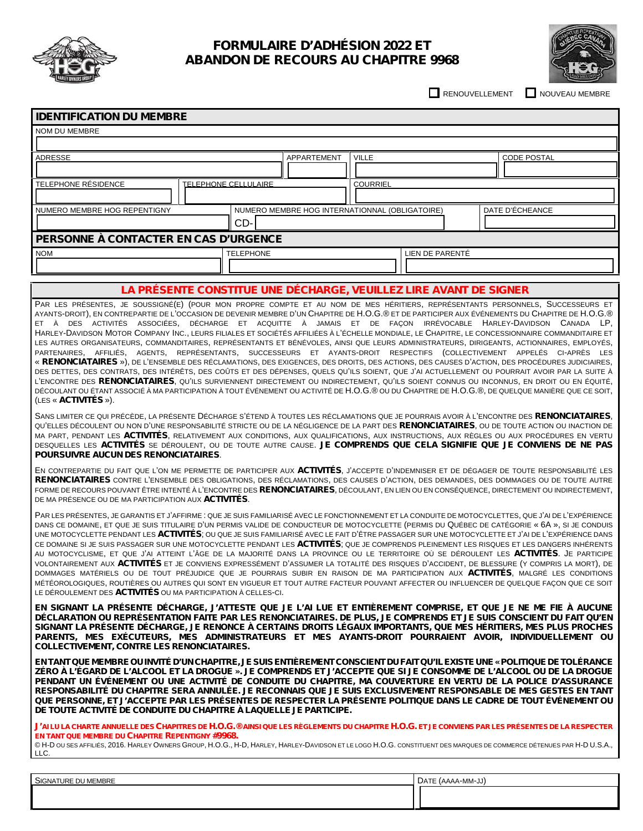

## **FORMULAIRE D'ADHÉSION 2022 ET ABANDON DE RECOURS AU CHAPITRE 9968**



RENOUVELLEMENT **NOUVEAU MEMBRE** 

| <b>IDENTIFICATION DU MEMBRE</b>                                                                                                                                                                                                                                                                                                                                                                                                                                                                                                               |                                                |                 |                 |                    |  |
|-----------------------------------------------------------------------------------------------------------------------------------------------------------------------------------------------------------------------------------------------------------------------------------------------------------------------------------------------------------------------------------------------------------------------------------------------------------------------------------------------------------------------------------------------|------------------------------------------------|-----------------|-----------------|--------------------|--|
| NOM DU MEMBRE                                                                                                                                                                                                                                                                                                                                                                                                                                                                                                                                 |                                                |                 |                 |                    |  |
|                                                                                                                                                                                                                                                                                                                                                                                                                                                                                                                                               |                                                |                 |                 |                    |  |
| ADRESSE                                                                                                                                                                                                                                                                                                                                                                                                                                                                                                                                       | APPARTEMENT                                    | <b>VILLE</b>    |                 | <b>CODE POSTAL</b> |  |
|                                                                                                                                                                                                                                                                                                                                                                                                                                                                                                                                               |                                                |                 |                 |                    |  |
| TELEPHONE RÉSIDENCE<br>TELEPHONE CELLULAIRE                                                                                                                                                                                                                                                                                                                                                                                                                                                                                                   |                                                | <b>COURRIEL</b> |                 |                    |  |
|                                                                                                                                                                                                                                                                                                                                                                                                                                                                                                                                               |                                                |                 |                 |                    |  |
| NUMERO MEMBRE HOG REPENTIGNY                                                                                                                                                                                                                                                                                                                                                                                                                                                                                                                  | NUMERO MEMBRE HOG INTERNATIONNAL (OBLIGATOIRE) |                 |                 | DATE D'ÉCHEANCE    |  |
| CD-                                                                                                                                                                                                                                                                                                                                                                                                                                                                                                                                           |                                                |                 |                 |                    |  |
| PERSONNE À CONTACTER EN CAS D'URGENCE                                                                                                                                                                                                                                                                                                                                                                                                                                                                                                         |                                                |                 |                 |                    |  |
| <b>NOM</b><br><b>TELEPHONE</b>                                                                                                                                                                                                                                                                                                                                                                                                                                                                                                                |                                                |                 | LIEN DE PARENTÉ |                    |  |
|                                                                                                                                                                                                                                                                                                                                                                                                                                                                                                                                               |                                                |                 |                 |                    |  |
|                                                                                                                                                                                                                                                                                                                                                                                                                                                                                                                                               |                                                |                 |                 |                    |  |
| LA PRÉSENTE CONSTITUE UNE DÉCHARGE, VEUILLEZ LIRE AVANT DE SIGNER                                                                                                                                                                                                                                                                                                                                                                                                                                                                             |                                                |                 |                 |                    |  |
| PAR LES PRÉSENTES, JE SOUSSIGNÉ(E) (POUR MON PROPRE COMPTE ET AU NOM DE MES HÉRITIERS, REPRÉSENTANTS PERSONNELS, SUCCESSEURS ET<br>AYANTS-DROIT), EN CONTREPARTIE DE L'OCCASION DE DEVENIR MEMBRE D'UN CHAPITRE DE H.O.G.® ET DE PARTICIPER AUX ÉVÉNEMENTS DU CHAPITRE DE H.O.G.®<br>ET À DES ACTIVITÉS ASSOCIÉES, DÉCHARGE ET ACQUITTE À JAMAIS ET DE FACON IRRÉVOCABLE HARLEY-DAVIDSON CANADA LP,<br>HADLEY DAUDCON MOTOR COMPANY NO LIFURO FUIALER ET COOPTÉR AFFUJÉER À L'ÉQUELLE MONDIALE LE CUARTRE LE CONCERCIONNAIRE COMMANDITAIRE ET |                                                |                 |                 |                    |  |

HARLEY-DAVIDSON MOTOR COMPANY INC., LEURS FILIALES ET SOCIÉTÉS AFFILIÉES À L'ÉCHELLE MONDIALE, LE CHAPITRE, LE CONCESSIONNAIRE COMMANDITAIRE ET LES AUTRES ORGANISATEURS, COMMANDITAIRES, REPRÉSENTANTS ET BÉNÉVOLES, AINSI QUE LEURS ADMINISTRATEURS, DIRIGEANTS, ACTIONNAIRES, EMPLOYÉS, PARTENAIRES, AFFILIÉS, AGENTS, REPRÉSENTANTS, SUCCESSEURS ET AYANTS-DROIT RESPECTIFS (COLLECTIVEMENT APPELÉS CI-APRÈS LES « **RENONCIATAIRES** »), DE L'ENSEMBLE DES RÉCLAMATIONS, DES EXIGENCES, DES DROITS, DES ACTIONS, DES CAUSES D'ACTION, DES PROCÉDURES JUDICIAIRES, DES DETTES, DES CONTRATS, DES INTÉRÊTS, DES COÛTS ET DES DÉPENSES, QUELS QU'ILS SOIENT, QUE J'AI ACTUELLEMENT OU POURRAIT AVOIR PAR LA SUITE À L'ENCONTRE DES **RENONCIATAIRES**, QU'ILS SURVIENNENT DIRECTEMENT OU INDIRECTEMENT, QU'ILS SOIENT CONNUS OU INCONNUS, EN DROIT OU EN ÉQUITÉ, DÉCOULANT OU ÉTANT ASSOCIÉ À MA PARTICIPATION À TOUT ÉVÉNEMENT OU ACTIVITÉ DE H.O.G.® OU DU CHAPITRE DE H.O.G.®, DE QUELQUE MANIÈRE QUE CE SOIT, (LES « **ACTIVITÉS** »).

SANS LIMITER CE QUI PRÉCÈDE, LA PRÉSENTE DÉCHARGE S'ÉTEND À TOUTES LES RÉCLAMATIONS QUE JE POURRAIS AVOIR À L'ENCONTRE DES **RENONCIATAIRES**, QU'ELLES DÉCOULENT OU NON D'UNE RESPONSABILITÉ STRICTE OU DE LA NÉGLIGENCE DE LA PART DES **RENONCIATAIRES**, OU DE TOUTE ACTION OU INACTION DE MA PART, PENDANT LES **ACTIVITÉS**, RELATIVEMENT AUX CONDITIONS, AUX QUALIFICATIONS, AUX INSTRUCTIONS, AUX RÈGLES OU AUX PROCÉDURES EN VERTU DESQUELLES LES **ACTIVITÉS** SE DÉROULENT, OU DE TOUTE AUTRE CAUSE. **JE COMPRENDS QUE CELA SIGNIFIE QUE JE CONVIENS DE NE PAS POURSUIVRE AUCUN DES RENONCIATAIRES**.

EN CONTREPARTIE DU FAIT QUE L'ON ME PERMETTE DE PARTICIPER AUX **ACTIVITÉS**, J'ACCEPTE D'INDEMNISER ET DE DÉGAGER DE TOUTE RESPONSABILITÉ LES **RENONCIATAIRES** CONTRE L'ENSEMBLE DES OBLIGATIONS, DES RÉCLAMATIONS, DES CAUSES D'ACTION, DES DEMANDES, DES DOMMAGES OU DE TOUTE AUTRE FORME DE RECOURS POUVANT ÊTRE INTENTÉ À L'ENCONTRE DES **RENONCIATAIRES**, DÉCOULANT, EN LIEN OU EN CONSÉQUENCE, DIRECTEMENT OU INDIRECTEMENT, DE MA PRÉSENCE OU DE MA PARTICIPATION AUX **ACTIVITÉS**.

PAR LES PRÉSENTES, JE GARANTIS ET J'AFFIRME : QUE JE SUIS FAMILIARISÉ AVEC LE FONCTIONNEMENT ET LA CONDUITE DE MOTOCYCLETTES, QUE J'AI DE L'EXPÉRIENCE DANS CE DOMAINE, ET QUE JE SUIS TITULAIRE D'UN PERMIS VALIDE DE CONDUCTEUR DE MOTOCYCLETTE (PERMIS DU QUÉBEC DE CATÉGORIE « 6A », SI JE CONDUIS UNE MOTOCYCLETTE PENDANT LES **ACTIVITÉS**; OU QUE JE SUIS FAMILIARISÉ AVEC LE FAIT D'ÊTRE PASSAGER SUR UNE MOTOCYCLETTE ET J'AI DE L'EXPÉRIENCE DANS CE DOMAINE SI JE SUIS PASSAGER SUR UNE MOTOCYCLETTE PENDANT LES **ACTIVITÉS**; QUE JE COMPRENDS PLEINEMENT LES RISQUES ET LES DANGERS INHÉRENTS AU MOTOCYCLISME, ET QUE J'AI ATTEINT L'ÂGE DE LA MAJORITÉ DANS LA PROVINCE OU LE TERRITOIRE OÙ SE DÉROULENT LES **ACTIVITÉS**. JE PARTICIPE VOLONTAIREMENT AUX **ACTIVITÉS** ET JE CONVIENS EXPRESSÉMENT D'ASSUMER LA TOTALITÉ DES RISQUES D'ACCIDENT, DE BLESSURE (Y COMPRIS LA MORT), DE DOMMAGES MATÉRIELS OU DE TOUT PRÉJUDICE QUE JE POURRAIS SUBIR EN RAISON DE MA PARTICIPATION AUX **ACTIVITÉS**, MALGRÉ LES CONDITIONS MÉTÉOROLOGIQUES, ROUTIÈRES OU AUTRES QUI SONT EN VIGUEUR ET TOUT AUTRE FACTEUR POUVANT AFFECTER OU INFLUENCER DE QUELQUE FAÇON QUE CE SOIT LE DÉROULEMENT DES **ACTIVITÉS** OU MA PARTICIPATION À CELLES-CI.

EN SIGNANT LA PRÉSENTE DÉCHARGE. J'ATTESTE QUE JE L'AI LUE ET ENTIÈREMENT COMPRISE. ET QUE JE NE ME FIE À AUCUNE DÉCLARATION OU REPRÉSENTATION FAITE PAR LES RENONCIATAIRES. DE PLUS, JE COMPRENDS ET JE SUIS CONSCIENT DU FAIT QU'EN SIGNANT LA PRÉSENTE DÉCHARGE, JE RENONCE À CERTAINS DROITS LÉGAUX IMPORTANTS, QUE MES HÉRITIERS, MES PLUS PROCHES **PARENTS, MES EXÉCUTEURS, MES ADMINISTRATEURS ET MES AYANTS-DROIT POURRAIENT AVOIR, INDIVIDUELLEMENT OU COLLECTIVEMENT, CONTRE LES RENONCIATAIRES.**

EN TANT QUE MEMBRE OU INVITÉ D'UN CHAPITRE, JE SUIS ENTIÈREMENT CONSCIENT DU FAIT QU'IL EXISTE UNE « POLITIQUE DE TOLÉRANCE ZÉRO À L'ÉGARD DE L'ALCOOL ET LA DROGUE ». JE COMPRENDS ET J'ACCEPTE QUE SI JE CONSOMME DE L'ALCOOL OU DE LA DROGUE PENDANT UN ÉVÉNEMENT OU UNE ACTIVITÉ DE CONDUITE DU CHAPITRE, MA COUVERTURE EN VERTU DE LA POLICE D'ASSURANCE RESPONSABILITÉ DU CHAPITRE SERA ANNULÉE. JE RECONNAIS QUE JE SUIS EXCLUSIVEMENT RESPONSABLE DE MES GESTES EN TANT QUE PERSONNE, ET J'ACCEPTE PAR LES PRÉSENTES DE RESPECTER LA PRÉSENTE POLITIQUE DANS LE CADRE DE TOUT ÉVÉNEMENT OU **DE TOUTE ACTIVITÉ DE CONDUITE DU CHAPITRE À LAQUELLE JE PARTICIPE.**

**J'AI LU LA CHARTE ANNUELLE DES CHAPITRES DE H.O.G.® AINSI QUE LES RÈGLEMENTS DU CHAPITRE H.O.G. ET JE CONVIENS PAR LES PRÉSENTES DE LA RESPECTER EN TANT QUE MEMBRE DU CHAPITRE REPENTIGNY #9968.**

© H-D OU SES AFFILIÉS, 2016. HARLEY OWNERS GROUP, H.O.G., H-D, HARLEY, HARLEY-DAVIDSON ET LE LOGO H.O.G. CONSTITUENT DES MARQUES DE COMMERCE DÉTENUES PAR H-D U.S.A., LLC.

| SIGNATI<br><b>IMEMBRE</b><br>URF<br>. | DATE (AAAA-MM-JJ) |
|---------------------------------------|-------------------|
|                                       |                   |